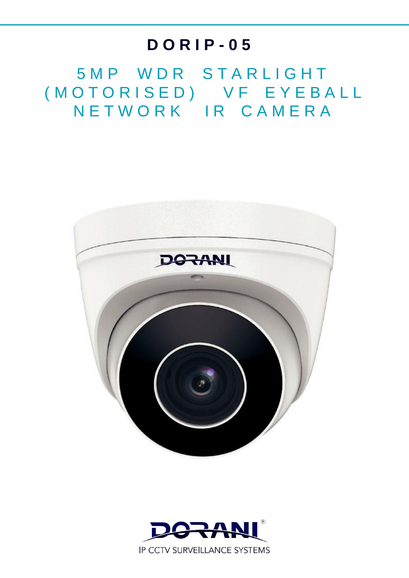# **D O R I P - 0 5**

5 M P W D R S T A R L I G H T ( M O T O R I S E D ) V F E Y E B A L L N E T W O R K I R C A M E R A



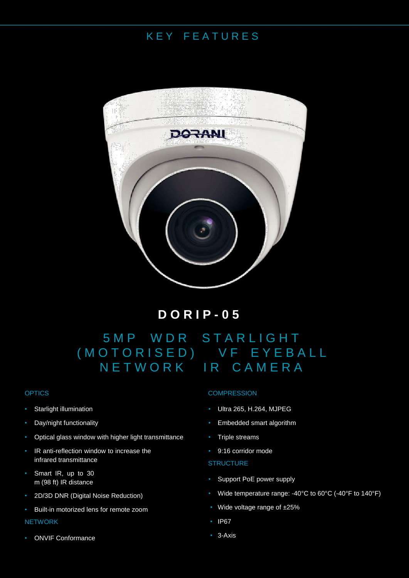### K E Y F E A T U R E S



**D O R I P - 0 5**

## 5 M P W D R S T A R L I G H T ( M O T O R I S E D ) V F E Y E B A L L N E T W O R K I R C A M E R A

#### **OPTICS**

- Starlight illumination
- Day/night functionality
- Optical glass window with higher light transmittance
- IR anti-reflection window to increase the infrared transmittance
- Smart IR, up to 30 m (98 ft) IR distance
- 2D/3D DNR (Digital Noise Reduction)
- Built-in motorized lens for remote zoom **NETWORK**

#### • ONVIF Conformance

#### **COMPRESSION**

- Ultra 265, H.264, MJPEG
- Embedded smart algorithm
- Triple streams
- 9:16 corridor mode

#### **STRUCTURE**

- Support PoE power supply
- Wide temperature range: -40°C to 60°C (-40°F to 140°F)
- Wide voltage range of ±25%
- IP67
- 3-Axis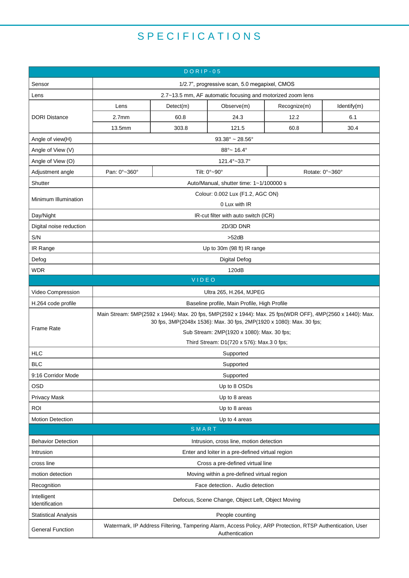## S P E C I F I C A T I O N S

| $DORIP-05$                    |                                                                                                                                                                                    |           |              |                 |             |  |
|-------------------------------|------------------------------------------------------------------------------------------------------------------------------------------------------------------------------------|-----------|--------------|-----------------|-------------|--|
| Sensor                        | 1/2.7", progressive scan, 5.0 megapixel, CMOS                                                                                                                                      |           |              |                 |             |  |
| Lens                          | 2.7~13.5 mm, AF automatic focusing and motorized zoom lens                                                                                                                         |           |              |                 |             |  |
| <b>DORI Distance</b>          | Lens                                                                                                                                                                               | Detect(m) | Observe(m)   | Recognize(m)    | Identify(m) |  |
|                               | 2.7 <sub>mm</sub>                                                                                                                                                                  | 60.8      | 24.3         | 12.2            | 6.1         |  |
|                               | 13.5mm                                                                                                                                                                             | 303.8     | 121.5        | 60.8            | 30.4        |  |
| Angle of view(H)              | $93.38^{\circ}$ ~ 28.56 $^{\circ}$                                                                                                                                                 |           |              |                 |             |  |
| Angle of View (V)             | $88^{\circ}$ ~ 16.4 $^{\circ}$                                                                                                                                                     |           |              |                 |             |  |
| Angle of View (O)             | 121.4°~33.7°                                                                                                                                                                       |           |              |                 |             |  |
| Adjustment angle              | Pan: 0°~360°                                                                                                                                                                       |           | Tilt: 0°~90° | Rotate: 0°~360° |             |  |
| Shutter                       | Auto/Manual, shutter time: 1~1/100000 s                                                                                                                                            |           |              |                 |             |  |
| Minimum Illumination          | Colour: 0.002 Lux (F1.2, AGC ON)<br>0 Lux with IR                                                                                                                                  |           |              |                 |             |  |
| Day/Night                     | IR-cut filter with auto switch (ICR)                                                                                                                                               |           |              |                 |             |  |
| Digital noise reduction       | 2D/3D DNR                                                                                                                                                                          |           |              |                 |             |  |
| S/N                           | $>52$ d $B$                                                                                                                                                                        |           |              |                 |             |  |
| IR Range                      | Up to 30m (98 ft) IR range                                                                                                                                                         |           |              |                 |             |  |
| Defog                         | <b>Digital Defog</b>                                                                                                                                                               |           |              |                 |             |  |
| <b>WDR</b>                    | 120dB                                                                                                                                                                              |           |              |                 |             |  |
| VIDEO                         |                                                                                                                                                                                    |           |              |                 |             |  |
| Video Compression             | Ultra 265, H.264, MJPEG                                                                                                                                                            |           |              |                 |             |  |
| H.264 code profile            | Baseline profile, Main Profile, High Profile                                                                                                                                       |           |              |                 |             |  |
| <b>Frame Rate</b>             | Main Stream: 5MP(2592 x 1944): Max. 20 fps, 5MP(2592 x 1944): Max. 25 fps(WDR OFF), 4MP(2560 x 1440): Max.<br>30 fps, 3MP(2048x 1536): Max. 30 fps, 2MP(1920 x 1080): Max. 30 fps; |           |              |                 |             |  |
|                               | Sub Stream: 2MP(1920 x 1080): Max. 30 fps;                                                                                                                                         |           |              |                 |             |  |
|                               | Third Stream: D1(720 x 576): Max.3 0 fps;                                                                                                                                          |           |              |                 |             |  |
| <b>HLC</b>                    | Supported                                                                                                                                                                          |           |              |                 |             |  |
| <b>BLC</b>                    | Supported                                                                                                                                                                          |           |              |                 |             |  |
| 9:16 Corridor Mode            | Supported                                                                                                                                                                          |           |              |                 |             |  |
| <b>OSD</b>                    | Up to 8 OSDs                                                                                                                                                                       |           |              |                 |             |  |
| <b>Privacy Mask</b>           | Up to 8 areas                                                                                                                                                                      |           |              |                 |             |  |
| <b>ROI</b>                    | Up to 8 areas                                                                                                                                                                      |           |              |                 |             |  |
| <b>Motion Detection</b>       | Up to 4 areas                                                                                                                                                                      |           |              |                 |             |  |
|                               |                                                                                                                                                                                    | SMART     |              |                 |             |  |
| <b>Behavior Detection</b>     | Intrusion, cross line, motion detection                                                                                                                                            |           |              |                 |             |  |
| Intrusion                     | Enter and loiter in a pre-defined virtual region                                                                                                                                   |           |              |                 |             |  |
| cross line                    | Cross a pre-defined virtual line                                                                                                                                                   |           |              |                 |             |  |
| motion detection              | Moving within a pre-defined virtual region                                                                                                                                         |           |              |                 |             |  |
| Recognition                   | Face detection, Audio detection                                                                                                                                                    |           |              |                 |             |  |
| Intelligent<br>Identification | Defocus, Scene Change, Object Left, Object Moving                                                                                                                                  |           |              |                 |             |  |
| <b>Statistical Analysis</b>   | People counting                                                                                                                                                                    |           |              |                 |             |  |
| <b>General Function</b>       | Watermark, IP Address Filtering, Tampering Alarm, Access Policy, ARP Protection, RTSP Authentication, User<br>Authentication                                                       |           |              |                 |             |  |